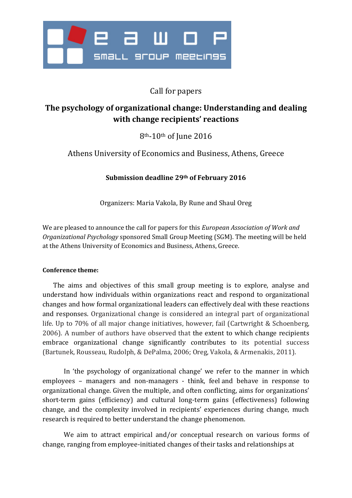

# Call for papers

# **The psychology of organizational change: Understanding and dealing with change recipients' reactions**

8th-10th of June 2016

Athens University of Economics and Business, Athens, Greece

**Submission deadline 29th of February 2016**

Organizers: Maria Vakola, By Rune and Shaul Oreg

We are pleased to announce the call for papers for this *European Association of Work and Organizational Psychology* sponsored Small Group Meeting (SGM). The meeting will be held at the Athens University of Economics and Business, Athens, Greece.

### **Conference theme:**

The aims and objectives of this small group meeting is to explore, analyse and understand how individuals within organizations react and respond to organizational changes and how formal organizational leaders can effectively deal with these reactions and responses. Organizational change is considered an integral part of organizational life. Up to 70% of all major change initiatives, however, fail (Cartwright & Schoenberg, 2006). A number of authors have observed that the extent to which change recipients embrace organizational change significantly contributes to its potential success (Bartunek, Rousseau, Rudolph, & DePalma, 2006; Oreg, Vakola, & Armenakis, 2011).

In 'the psychology of organizational change' we refer to the manner in which employees – managers and non-managers - think, feel and behave in response to organizational change. Given the multiple, and often conflicting, aims for organizations' short-term gains (efficiency) and cultural long-term gains (effectiveness) following change, and the complexity involved in recipients' experiences during change, much research is required to better understand the change phenomenon.

We aim to attract empirical and/or conceptual research on various forms of change, ranging from employee-initiated changes of their tasks and relationships at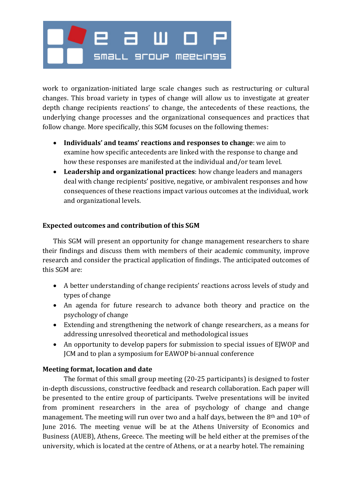# е а ш SMaLL 9FOUP MEELIN9S

work to organization-initiated large scale changes such as restructuring or cultural changes. This broad variety in types of change will allow us to investigate at greater depth change recipients reactions' to change, the antecedents of these reactions, the underlying change processes and the organizational consequences and practices that follow change. More specifically, this SGM focuses on the following themes:

- **Individuals' and teams' reactions and responses to change**: we aim to examine how specific antecedents are linked with the response to change and how these responses are manifested at the individual and/or team level.
- **Leadership and organizational practices**: how change leaders and managers deal with change recipients' positive, negative, or ambivalent responses and how consequences of these reactions impact various outcomes at the individual, work and organizational levels.

## **Expected outcomes and contribution of this SGM**

This SGM will present an opportunity for change management researchers to share their findings and discuss them with members of their academic community, improve research and consider the practical application of findings. The anticipated outcomes of this SGM are:

- A better understanding of change recipients' reactions across levels of study and types of change
- An agenda for future research to advance both theory and practice on the psychology of change
- Extending and strengthening the network of change researchers, as a means for addressing unresolved theoretical and methodological issues
- An opportunity to develop papers for submission to special issues of EJWOP and JCM and to plan a symposium for EAWOP bi-annual conference

## **Meeting format, location and date**

The format of this small group meeting (20-25 participants) is designed to foster in-depth discussions, constructive feedback and research collaboration. Each paper will be presented to the entire group of participants. Twelve presentations will be invited from prominent researchers in the area of psychology of change and change management. The meeting will run over two and a half days, between the 8<sup>th</sup> and 10<sup>th</sup> of June 2016. The meeting venue will be at the Athens University of Economics and Business (AUEB), Athens, Greece. The meeting will be held either at the premises of the university, which is located at the centre of Athens, or at a nearby hotel. The remaining